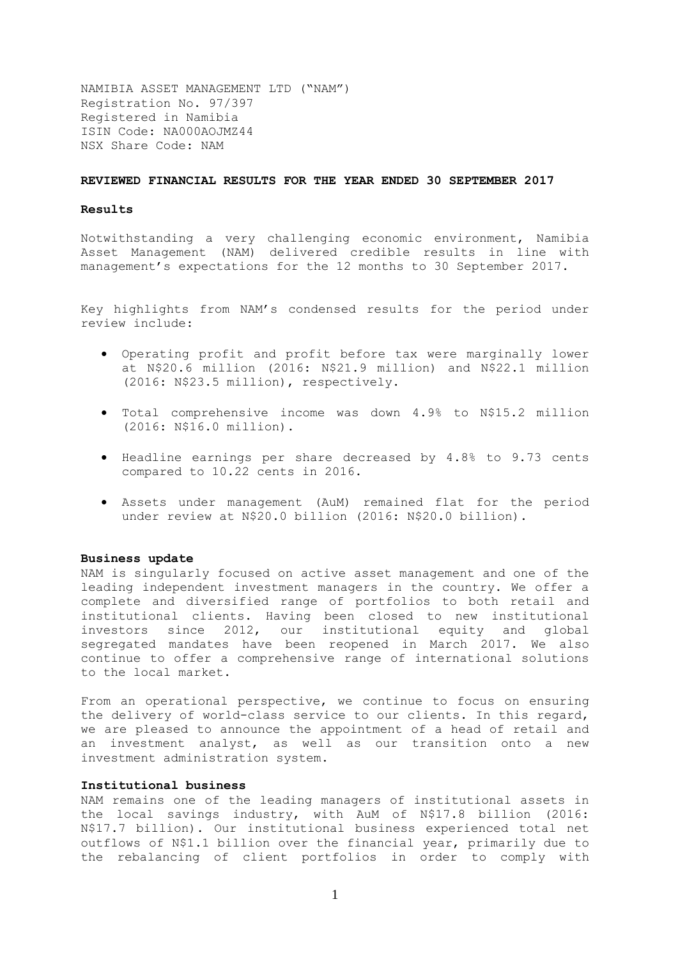NAMIBIA ASSET MANAGEMENT LTD ("NAM") Registration No. 97/397 Registered in Namibia ISIN Code: NA000AOJMZ44 NSX Share Code: NAM

## **REVIEWED FINANCIAL RESULTS FOR THE YEAR ENDED 30 SEPTEMBER 2017**

#### **Results**

Notwithstanding a very challenging economic environment, Namibia Asset Management (NAM) delivered credible results in line with management's expectations for the 12 months to 30 September 2017.

Key highlights from NAM's condensed results for the period under review include:

- Operating profit and profit before tax were marginally lower at N\$20.6 million (2016: N\$21.9 million) and N\$22.1 million (2016: N\$23.5 million), respectively.
- Total comprehensive income was down 4.9% to N\$15.2 million (2016: N\$16.0 million).
- Headline earnings per share decreased by 4.8% to 9.73 cents compared to 10.22 cents in 2016.
- Assets under management (AuM) remained flat for the period under review at N\$20.0 billion (2016: N\$20.0 billion).

#### **Business update**

NAM is singularly focused on active asset management and one of the leading independent investment managers in the country. We offer a complete and diversified range of portfolios to both retail and institutional clients. Having been closed to new institutional investors since 2012, our institutional equity and global segregated mandates have been reopened in March 2017. We also continue to offer a comprehensive range of international solutions to the local market.

From an operational perspective, we continue to focus on ensuring the delivery of world-class service to our clients. In this regard, we are pleased to announce the appointment of a head of retail and an investment analyst, as well as our transition onto a new investment administration system.

#### **Institutional business**

NAM remains one of the leading managers of institutional assets in the local savings industry, with AuM of N\$17.8 billion (2016: N\$17.7 billion). Our institutional business experienced total net outflows of N\$1.1 billion over the financial year, primarily due to the rebalancing of client portfolios in order to comply with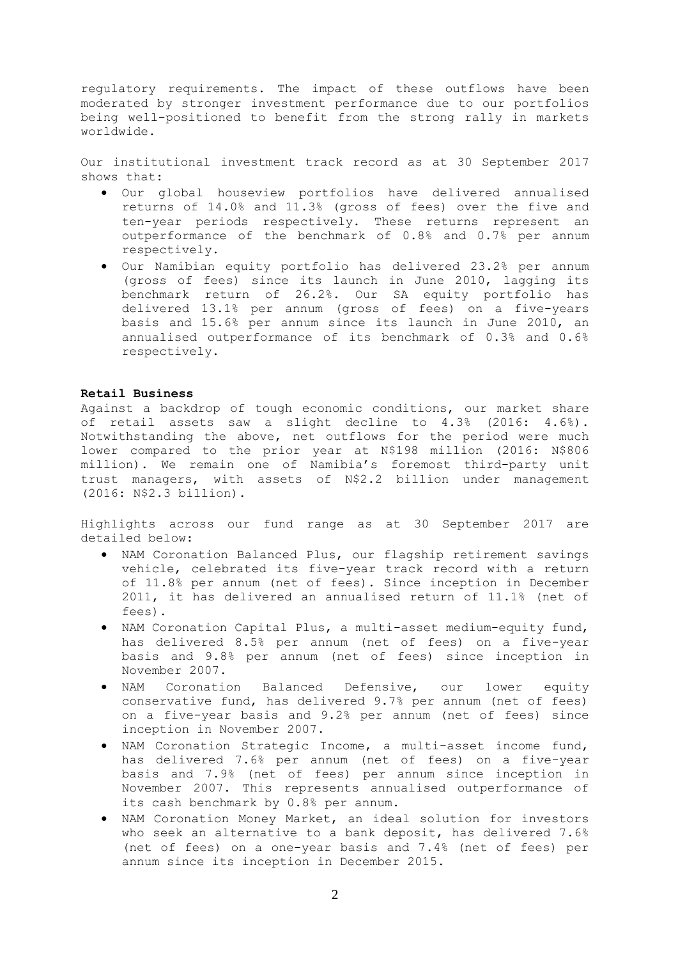regulatory requirements. The impact of these outflows have been moderated by stronger investment performance due to our portfolios being well-positioned to benefit from the strong rally in markets worldwide.

Our institutional investment track record as at 30 September 2017 shows that:

- Our global houseview portfolios have delivered annualised returns of 14.0% and 11.3% (gross of fees) over the five and ten-year periods respectively. These returns represent an outperformance of the benchmark of 0.8% and 0.7% per annum respectively.
- Our Namibian equity portfolio has delivered 23.2% per annum (gross of fees) since its launch in June 2010, lagging its benchmark return of 26.2%. Our SA equity portfolio has delivered 13.1% per annum (gross of fees) on a five-years basis and 15.6% per annum since its launch in June 2010, an annualised outperformance of its benchmark of 0.3% and 0.6% respectively.

#### **Retail Business**

Against a backdrop of tough economic conditions, our market share of retail assets saw a slight decline to 4.3% (2016: 4.6%). Notwithstanding the above, net outflows for the period were much lower compared to the prior year at N\$198 million (2016: N\$806 million). We remain one of Namibia's foremost third-party unit trust managers, with assets of N\$2.2 billion under management (2016: N\$2.3 billion).

Highlights across our fund range as at 30 September 2017 are detailed below:

- NAM Coronation Balanced Plus, our flagship retirement savings vehicle, celebrated its five-year track record with a return of 11.8% per annum (net of fees). Since inception in December 2011, it has delivered an annualised return of 11.1% (net of fees).
- NAM Coronation Capital Plus, a multi-asset medium-equity fund, has delivered 8.5% per annum (net of fees) on a five-year basis and 9.8% per annum (net of fees) since inception in November 2007.
- NAM Coronation Balanced Defensive, our lower equity conservative fund, has delivered 9.7% per annum (net of fees) on a five-year basis and 9.2% per annum (net of fees) since inception in November 2007.
- NAM Coronation Strategic Income, a multi-asset income fund, has delivered 7.6% per annum (net of fees) on a five-year basis and 7.9% (net of fees) per annum since inception in November 2007. This represents annualised outperformance of its cash benchmark by 0.8% per annum.
- NAM Coronation Money Market, an ideal solution for investors who seek an alternative to a bank deposit, has delivered 7.6% (net of fees) on a one-year basis and 7.4% (net of fees) per annum since its inception in December 2015.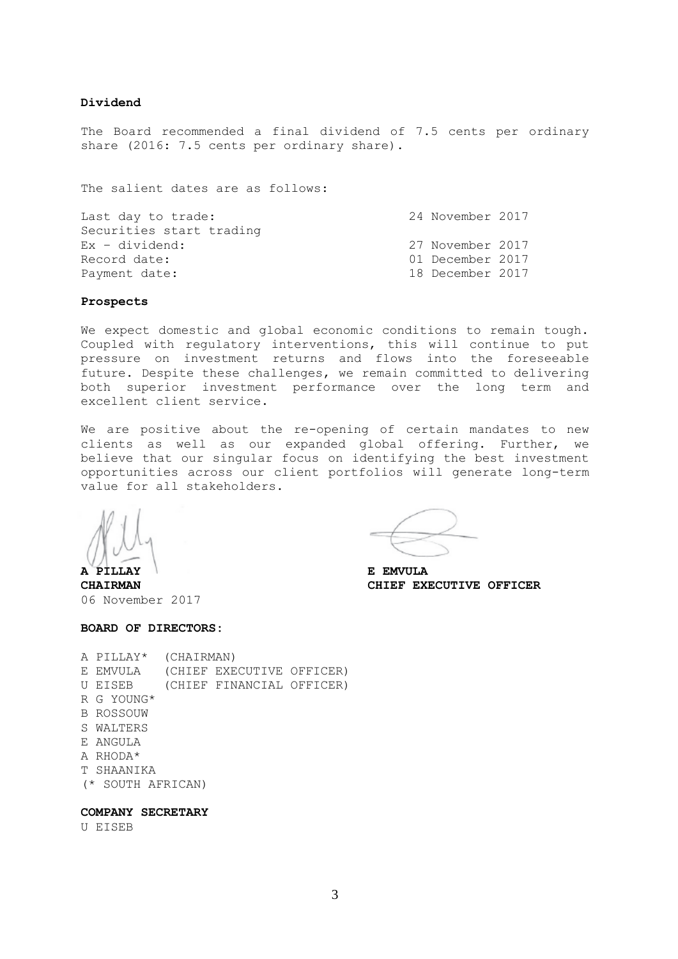### **Dividend**

The Board recommended a final dividend of 7.5 cents per ordinary share (2016: 7.5 cents per ordinary share).

The salient dates are as follows:

| Last day to trade:       | 24 November 2017 |  |
|--------------------------|------------------|--|
| Securities start trading |                  |  |
| $Ex - dividend:$         | 27 November 2017 |  |
| Record date:             | 01 December 2017 |  |
| Payment date:            | 18 December 2017 |  |
|                          |                  |  |

#### **Prospects**

We expect domestic and global economic conditions to remain tough. Coupled with regulatory interventions, this will continue to put pressure on investment returns and flows into the foreseeable future. Despite these challenges, we remain committed to delivering both superior investment performance over the long term and excellent client service.

We are positive about the re-opening of certain mandates to new clients as well as our expanded global offering. Further, we believe that our singular focus on identifying the best investment opportunities across our client portfolios will generate long-term value for all stakeholders.

**A PILLAY E EMVULA**

**CHAIRMAN CHIEF EXECUTIVE OFFICER**

06 November 2017

## **BOARD OF DIRECTORS:**

|    | A PILLAY*         | (CHAIRMAN) |                           |  |
|----|-------------------|------------|---------------------------|--|
|    |                   |            |                           |  |
|    | E EMVULA          |            | (CHIEF EXECUTIVE OFFICER) |  |
| U  | EISEB             |            | (CHIEF FINANCIAL OFFICER) |  |
|    | R G YOUNG*        |            |                           |  |
|    | B ROSSOUW         |            |                           |  |
|    | S WALTERS         |            |                           |  |
|    | E ANGULA          |            |                           |  |
|    | A RHODA*          |            |                           |  |
| T. | SHAANTKA          |            |                           |  |
|    | (* SOUTH AFRICAN) |            |                           |  |
|    |                   |            |                           |  |

# **COMPANY SECRETARY**

U EISEB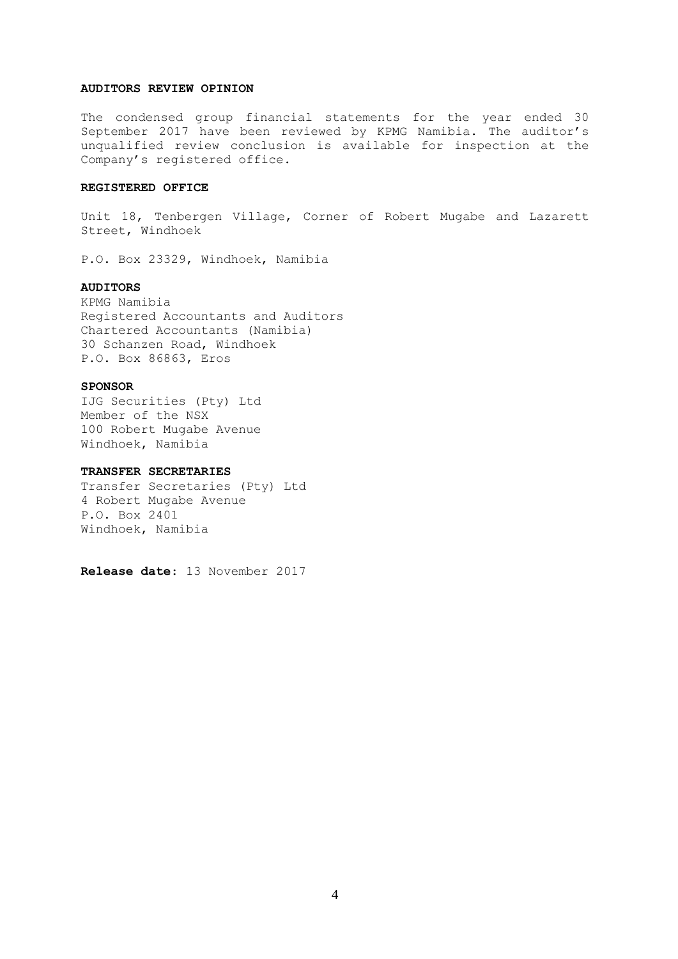#### **AUDITORS REVIEW OPINION**

The condensed group financial statements for the year ended 30 September 2017 have been reviewed by KPMG Namibia. The auditor's unqualified review conclusion is available for inspection at the Company's registered office.

# **REGISTERED OFFICE**

Unit 18, Tenbergen Village, Corner of Robert Mugabe and Lazarett Street, Windhoek

P.O. Box 23329, Windhoek, Namibia

## **AUDITORS**

KPMG Namibia Registered Accountants and Auditors Chartered Accountants (Namibia) 30 Schanzen Road, Windhoek P.O. Box 86863, Eros

#### **SPONSOR**

IJG Securities (Pty) Ltd Member of the NSX 100 Robert Mugabe Avenue Windhoek, Namibia

## **TRANSFER SECRETARIES**

Transfer Secretaries (Pty) Ltd 4 Robert Mugabe Avenue P.O. Box 2401 Windhoek, Namibia

**Release date**: 13 November 2017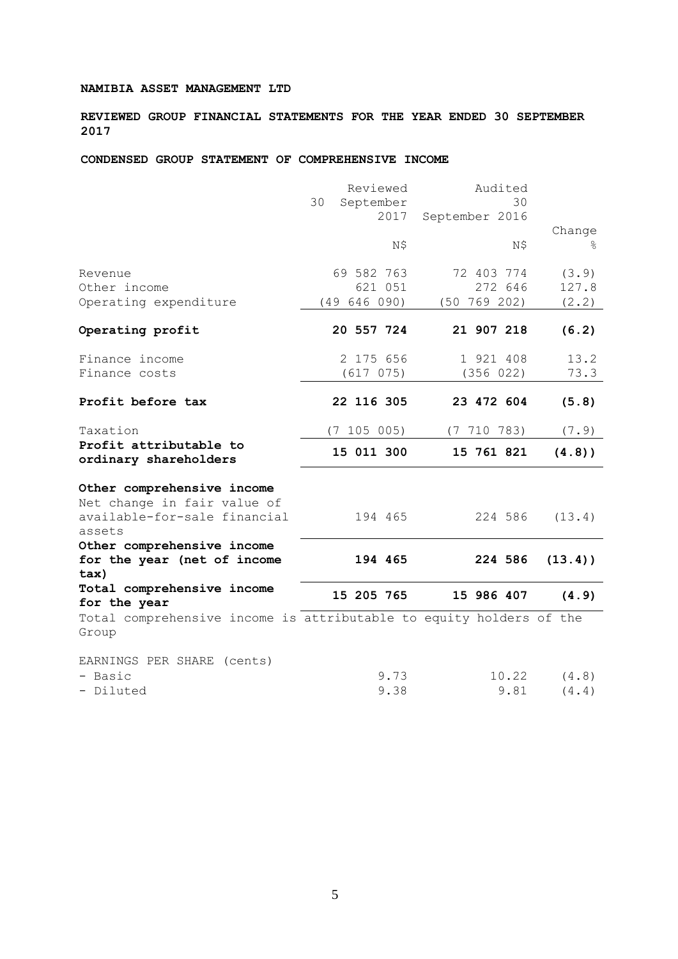# **NAMIBIA ASSET MANAGEMENT LTD**

**REVIEWED GROUP FINANCIAL STATEMENTS FOR THE YEAR ENDED 30 SEPTEMBER 2017**

# **CONDENSED GROUP STATEMENT OF COMPREHENSIVE INCOME**

|                                                                              | Reviewed                | Audited              |            |
|------------------------------------------------------------------------------|-------------------------|----------------------|------------|
|                                                                              | 30<br>September<br>2017 | 30<br>September 2016 |            |
|                                                                              |                         |                      | Change     |
|                                                                              | N\$                     | N\$                  | °          |
| Revenue                                                                      | 69 582 763              | 72 403 774           | (3.9)      |
| Other income                                                                 | 621 051                 | 272 646              | 127.8      |
| Operating expenditure                                                        | (49646090)              | $(50\ 769\ 202)$     | (2.2)      |
| Operating profit                                                             | 20 557 724              | 21 907 218           | (6.2)      |
| Finance income                                                               | 2 175 656               | 1 921 408            | 13.2       |
| Finance costs                                                                | (617 075)               | (356 022)            | 73.3       |
| Profit before tax                                                            | 22 116 305              | 23 472 604           | (5.8)      |
| Taxation                                                                     | (7 105 005)             | (7 710 783)          | (7.9)      |
| Profit attributable to<br>ordinary shareholders                              | 15 011 300              | 15 761 821           | (4.8)      |
| Other comprehensive income                                                   |                         |                      |            |
| Net change in fair value of<br>available-for-sale financial                  | 194 465                 | 224 586              | (13.4)     |
| assets<br>Other comprehensive income                                         |                         |                      |            |
| for the year (net of income                                                  | 194 465                 | 224 586              | $(13.4)$ ) |
| tax)<br>Total comprehensive income                                           |                         |                      |            |
| for the year                                                                 | 15 205 765              | 15 986 407           | (4.9)      |
| Total comprehensive income is attributable to equity holders of the<br>Group |                         |                      |            |
| EARNINGS PER SHARE (cents)                                                   |                         |                      |            |
| - Basic                                                                      | 9.73                    | 10.22                | (4.8)      |
| - Diluted                                                                    | 9.38                    | 9.81                 | (4.4)      |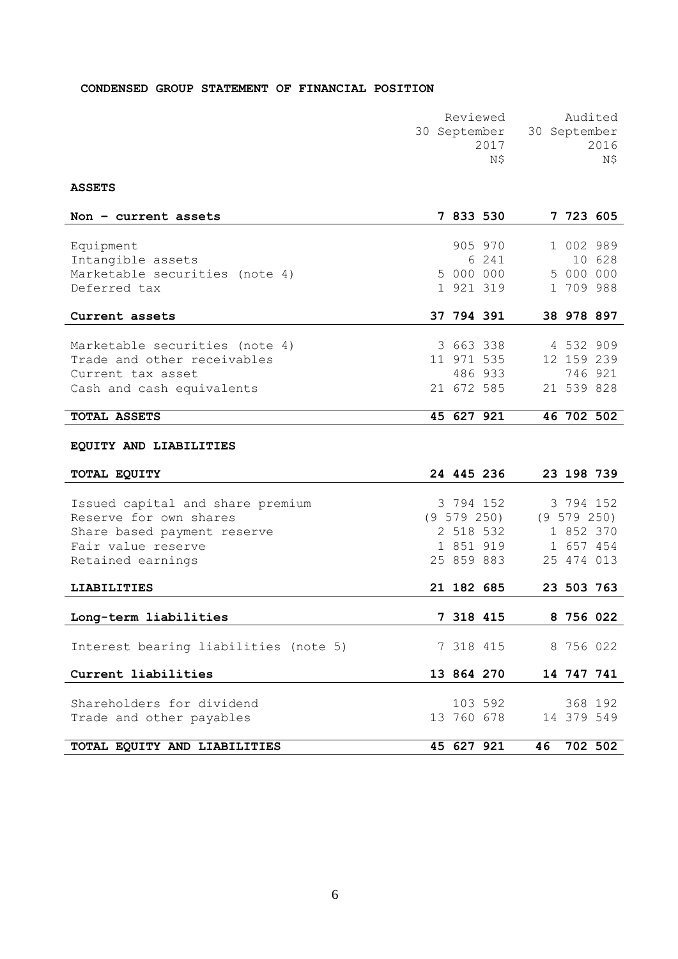# **CONDENSED GROUP STATEMENT OF FINANCIAL POSITION**

| Reviewed | Audited                   |
|----------|---------------------------|
|          | 30 September 30 September |
| 2017     | 2016                      |
| N\$      | N\$                       |
|          |                           |

**ASSETS**

| Non $-$ current assets                                        |  | 7 833 530       |    |            | 7 723 605       |
|---------------------------------------------------------------|--|-----------------|----|------------|-----------------|
|                                                               |  |                 |    |            |                 |
| Equipment                                                     |  | 905 970         |    |            | 1 002 989       |
| Intangible assets                                             |  | 6 241           |    |            | 10 628          |
| Marketable securities (note 4)                                |  | 5 000 000       |    | 5 000 000  |                 |
| Deferred tax                                                  |  | 1 921 319       |    | 1 709 988  |                 |
| Current assets                                                |  | 37 794 391      |    |            | 38 978 897      |
|                                                               |  | 3 663 338       |    | 4 532 909  |                 |
| Marketable securities (note 4)<br>Trade and other receivables |  | 11 971 535      |    |            | 12 159 239      |
| Current tax asset                                             |  | 486 933         |    |            | 746 921         |
| Cash and cash equivalents                                     |  | 21 672 585      |    |            | 21 539 828      |
|                                                               |  |                 |    |            |                 |
| <b>TOTAL ASSETS</b>                                           |  | 45 627 921      |    |            | 46 702 502      |
|                                                               |  |                 |    |            |                 |
| EQUITY AND LIABILITIES                                        |  |                 |    |            |                 |
| TOTAL EQUITY                                                  |  | 24 445 236      |    |            | 23 198 739      |
| Issued capital and share premium                              |  | 3 794 152       |    |            | 3 794 152       |
| Reserve for own shares                                        |  | $(9\;579\;250)$ |    |            | $(9\ 579\ 250)$ |
| Share based payment reserve                                   |  | 2 518 532       |    | 1 852 370  |                 |
| Fair value reserve                                            |  | 1 851 919       |    | 1 657 454  |                 |
| Retained earnings                                             |  | 25 859 883      |    | 25 474 013 |                 |
|                                                               |  |                 |    |            |                 |
| <b>LIABILITIES</b>                                            |  | 21 182 685      |    |            | 23 503 763      |
|                                                               |  |                 |    |            |                 |
| Long-term liabilities                                         |  | 7 318 415       |    |            | 8 756 022       |
|                                                               |  |                 |    |            |                 |
| Interest bearing liabilities (note 5)                         |  | 7 318 415       |    | 8 756 022  |                 |
| Current liabilities                                           |  | 13 864 270      |    |            | 14 747 741      |
|                                                               |  |                 |    |            |                 |
| Shareholders for dividend                                     |  | 103 592         |    |            | 368 192         |
| Trade and other payables                                      |  | 13 760 678      |    |            | 14 379 549      |
| TOTAL EQUITY AND LIABILITIES                                  |  | 45 627 921      | 46 |            | 702 502         |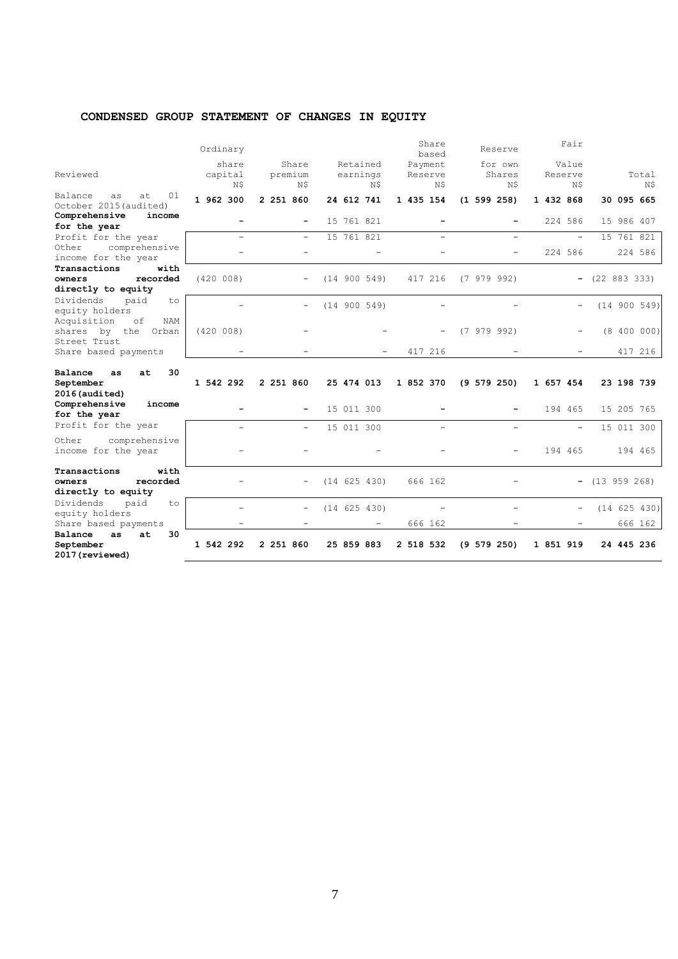# **CONDENSED GROUP STATEMENT OF CHANGES IN EQUITY**

|                                                          | Ordinary  |                          |              | Share<br>based | Reserve         | Fair              |                  |
|----------------------------------------------------------|-----------|--------------------------|--------------|----------------|-----------------|-------------------|------------------|
|                                                          | share     | Share                    | Retained     | Payment        | for own         | Value             |                  |
| Reviewed                                                 | capital   | premium                  | earnings     | Reserve        | Shares          | Reserve           | Total            |
|                                                          | N\$       | N\$                      | N\$          | N\$            | N\$             | N\$               | N\$              |
| 01<br>Balance<br>at<br>as<br>October 2015 (audited)      | 1 962 300 | 2 251 860                | 24 612 741   | 1 435 154      | (1 599 258)     | 1 432 868         | 30 095 665       |
| Comprehensive<br>income<br>for the year                  | -         | -                        | 15 761 821   |                |                 | 224 586           | 15 986 407       |
| Profit for the year                                      | ÷         | $\overline{\phantom{a}}$ | 15 761 821   | $\equiv$       | $\equiv$        | $\equiv$          | 15 761 821       |
| Other<br>comprehensive<br>income for the year            |           | $\overline{\phantom{0}}$ |              |                |                 | 224 586           | 224 586          |
| Transactions<br>with                                     |           |                          |              |                |                 |                   |                  |
| recorded<br>owners                                       | (420 008) |                          | (14 900 549) | 417 216        | (7979992)       |                   | $-$ (22 883 333) |
| directly to equity                                       |           |                          |              |                |                 |                   |                  |
| Dividends<br>paid<br>to<br>equity holders                |           |                          | (14 900 549) |                |                 |                   | (14 900 549)     |
| Acquisition<br>of<br>NAM<br>shares by the Orban          | (420 008) |                          |              |                | (7979992)       |                   | (8 400 000)      |
| Street Trust<br>Share based payments                     |           |                          |              | 417 216        |                 |                   | 417 216          |
| 30<br>Balance<br>at<br>as<br>September<br>2016 (audited) | 1 542 292 | 2 251 860                | 25 474 013   | 1 852 370      | $(9\ 579\ 250)$ | 1 657 454         | 23 198 739       |
| Comprehensive<br>income<br>for the year                  |           |                          | 15 011 300   |                |                 | 194 465           | 15 205 765       |
| Profit for the year                                      |           | -                        | 15 011 300   |                |                 |                   | 15 011 300       |
| Other<br>comprehensive<br>income for the year            |           |                          |              |                |                 | 194 465           | 194 465          |
| with<br>Transactions                                     |           |                          |              |                |                 |                   |                  |
| recorded<br>owners                                       |           |                          | (14 625 430) | 666 162        |                 |                   | $-$ (13 959 268) |
| directly to equity                                       |           |                          |              |                |                 |                   |                  |
| Dividends<br>paid<br>to                                  |           |                          |              |                |                 |                   |                  |
| equity holders                                           |           | $\overline{\phantom{0}}$ | (14 625 430) |                |                 | $\qquad \qquad -$ | (14 625 430)     |
| Share based payments                                     |           |                          |              | 666 162        |                 |                   | 666 162          |
| Balance<br>30<br>as<br>at                                |           |                          |              |                |                 |                   |                  |
| September<br>2017 (reviewed)                             | 1 542 292 | 2 251 860                | 25 859 883   | 2 518 532      | $(9\ 579\ 250)$ | 1 851 919         | 24 445 236       |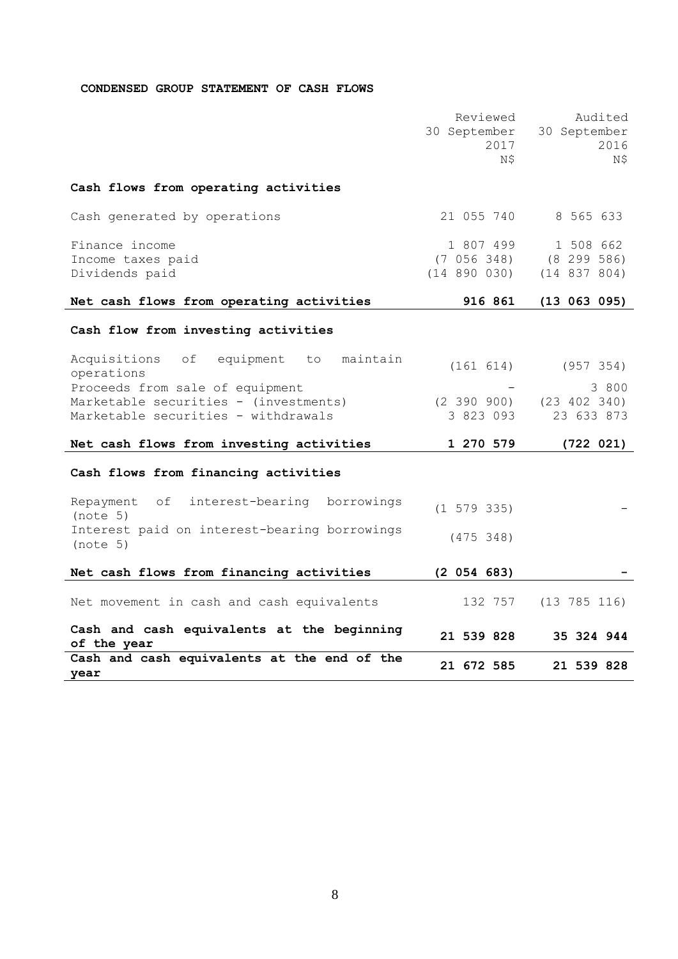# **CONDENSED GROUP STATEMENT OF CASH FLOWS**

|                                                                                                                                                                              | Reviewed<br>30 September<br>2017<br>Ν\$      | Audited<br>30 September<br>2016<br>N\$           |
|------------------------------------------------------------------------------------------------------------------------------------------------------------------------------|----------------------------------------------|--------------------------------------------------|
| Cash flows from operating activities                                                                                                                                         |                                              |                                                  |
| Cash generated by operations                                                                                                                                                 | 21 055 740                                   | 8 565 633                                        |
| Finance income<br>Income taxes paid<br>Dividends paid                                                                                                                        | 1 807 499<br>(7 056 348)<br>$(14\ 890\ 030)$ | 1 508 662<br>(8 299 586)<br>(14 837 804)         |
| Net cash flows from operating activities                                                                                                                                     | 916 861                                      | (13 063 095)                                     |
| Cash flow from investing activities                                                                                                                                          |                                              |                                                  |
| Acquisitions<br>equipment to maintain<br>оf<br>operations<br>Proceeds from sale of equipment<br>Marketable securities - (investments)<br>Marketable securities - withdrawals | (161 614)<br>(2, 390, 900)<br>3 823 093      | (957 354)<br>3 800<br>(23 402 340)<br>23 633 873 |
| Net cash flows from investing activities                                                                                                                                     | 1 270 579                                    | (722 021)                                        |
| Cash flows from financing activities                                                                                                                                         |                                              |                                                  |
| Repayment<br>of<br>interest-bearing borrowings<br>(note 5)<br>Interest paid on interest-bearing borrowings<br>(note 5)                                                       | $(1\ 579\ 335)$<br>(475 348)                 |                                                  |
| Net cash flows from financing activities                                                                                                                                     | (2 054 683)                                  |                                                  |
| Net movement in cash and cash equivalents                                                                                                                                    | 132 757                                      | $(13\ 785\ 116)$                                 |
| Cash and cash equivalents at the beginning<br>of the year                                                                                                                    | 21 539 828                                   | 35 324 944                                       |
| Cash and cash equivalents at the end of the<br>year                                                                                                                          | 21 672 585                                   | 21 539 828                                       |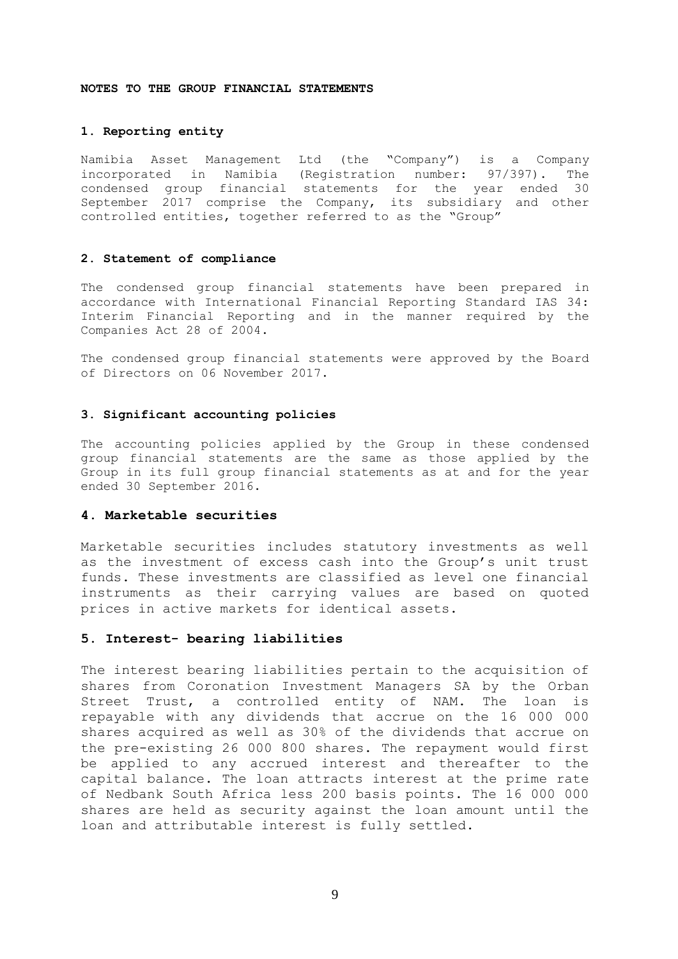#### **NOTES TO THE GROUP FINANCIAL STATEMENTS**

## **1. Reporting entity**

Namibia Asset Management Ltd (the "Company") is a Company incorporated in Namibia (Registration number: 97/397). The condensed group financial statements for the year ended 30 September 2017 comprise the Company, its subsidiary and other controlled entities, together referred to as the "Group"

### **2. Statement of compliance**

The condensed group financial statements have been prepared in accordance with International Financial Reporting Standard IAS 34: Interim Financial Reporting and in the manner required by the Companies Act 28 of 2004.

The condensed group financial statements were approved by the Board of Directors on 06 November 2017.

#### **3. Significant accounting policies**

The accounting policies applied by the Group in these condensed group financial statements are the same as those applied by the Group in its full group financial statements as at and for the year ended 30 September 2016.

### **4. Marketable securities**

Marketable securities includes statutory investments as well as the investment of excess cash into the Group's unit trust funds. These investments are classified as level one financial instruments as their carrying values are based on quoted prices in active markets for identical assets.

#### **5. Interest- bearing liabilities**

The interest bearing liabilities pertain to the acquisition of shares from Coronation Investment Managers SA by the Orban Street Trust, a controlled entity of NAM. The loan is repayable with any dividends that accrue on the 16 000 000 shares acquired as well as 30% of the dividends that accrue on the pre-existing 26 000 800 shares. The repayment would first be applied to any accrued interest and thereafter to the capital balance. The loan attracts interest at the prime rate of Nedbank South Africa less 200 basis points. The 16 000 000 shares are held as security against the loan amount until the loan and attributable interest is fully settled.